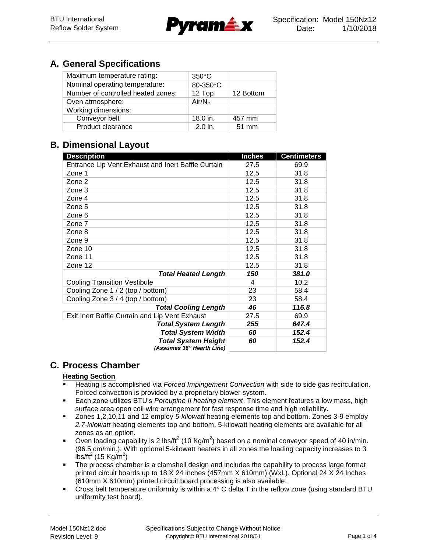

# **A. General Specifications**

| Maximum temperature rating:        | $350^{\circ}$ C    |           |
|------------------------------------|--------------------|-----------|
| Nominal operating temperature:     | 80-350°C           |           |
| Number of controlled heated zones: | 12 Top             | 12 Bottom |
| Oven atmosphere:                   | Air/N <sub>2</sub> |           |
| Working dimensions:                |                    |           |
| Conveyor belt                      | 18.0 in.           | 457 mm    |
| Product clearance                  | $2.0$ in.          | 51 mm     |

# **B. Dimensional Layout**

| <b>Description</b>                                 | <b>Inches</b> | <b>Centimeters</b> |
|----------------------------------------------------|---------------|--------------------|
| Entrance Lip Vent Exhaust and Inert Baffle Curtain | 27.5          | 69.9               |
| Zone 1                                             | 12.5          | 31.8               |
| Zone 2                                             | 12.5          | 31.8               |
| Zone 3                                             | 12.5          | 31.8               |
| Zone 4                                             | 12.5          | 31.8               |
| Zone 5                                             | 12.5          | 31.8               |
| Zone 6                                             | 12.5          | 31.8               |
| Zone 7                                             | 12.5          | 31.8               |
| Zone 8                                             | 12.5          | 31.8               |
| Zone 9                                             | 12.5          | 31.8               |
| Zone 10                                            | 12.5          | 31.8               |
| Zone 11                                            | 12.5          | 31.8               |
| Zone 12                                            | 12.5          | 31.8               |
| <b>Total Heated Length</b>                         | 150           | 381.0              |
| <b>Cooling Transition Vestibule</b>                | 4             | 10.2               |
| Cooling Zone 1 / 2 (top / bottom)                  | 23            | 58.4               |
| Cooling Zone 3 / 4 (top / bottom)                  | 23            | 58.4               |
| <b>Total Cooling Length</b>                        | 46            | 116.8              |
| Exit Inert Baffle Curtain and Lip Vent Exhaust     | 27.5          | 69.9               |
| <b>Total System Length</b>                         | 255           | 647.4              |
| <b>Total System Width</b>                          | 60            | 152.4              |
| <b>Total System Height</b>                         | 60            | 152.4              |
| (Assumes 36" Hearth Line)                          |               |                    |

# **C. Process Chamber**

### **Heating Section**

- Heating is accomplished via *Forced Impingement Convection* with side to side gas recirculation. Forced convection is provided by a proprietary blower system.
- Each zone utilizes BTU's *Porcupine II heating element*. This element features a low mass, high surface area open coil wire arrangement for fast response time and high reliability.
- Zones 1,2,10,11 and 12 employ *5-kilowatt* heating elements top and bottom. Zones 3-9 employ *2.7-kilowatt* heating elements top and bottom. 5-kilowatt heating elements are available for all zones as an option.
- Oven loading capability is 2 lbs/ft<sup>2</sup> (10 Kg/m<sup>2</sup>) based on a nominal conveyor speed of 40 in/min. (96.5 cm/min.). With optional 5-kilowatt heaters in all zones the loading capacity increases to 3  $\overline{\text{lbs}}/\text{ft}^2$  (15 Kg/m<sup>2</sup>)
- The process chamber is a clamshell design and includes the capability to process large format printed circuit boards up to 18 X 24 inches (457mm X 610mm) (WxL). Optional 24 X 24 Inches (610mm X 610mm) printed circuit board processing is also available.
- Cross belt temperature uniformity is within a 4° C delta T in the reflow zone (using standard BTU uniformity test board).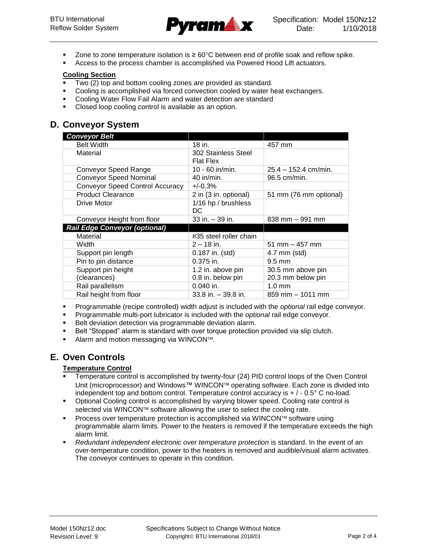

- Zone to zone temperature isolation is  $\geq 60^{\circ}$ C between end of profile soak and reflow spike.
- Access to the process chamber is accomplished via Powered Hood Lift actuators.

#### **Cooling Section**

- Two (2) top and bottom cooling zones are provided as standard.
- Cooling is accomplished via forced convection cooled by water heat exchangers.
- Cooling Water Flow Fail Alarm and water detection are standard
- Closed loop cooling control is available as an option.

## **D. Conveyor System**

| <b>Conveyor Belt</b>                   |                        |                                  |
|----------------------------------------|------------------------|----------------------------------|
| <b>Belt Width</b>                      | 18 in.                 | 457 mm                           |
| Material                               | 302 Stainless Steel    |                                  |
|                                        | <b>Flat Flex</b>       |                                  |
| <b>Conveyor Speed Range</b>            | 10 - 60 in/min.        | $25.4 - 152.4$ cm/min.           |
| <b>Conveyor Speed Nominal</b>          | $40$ in/min.           | 96.5 cm/min.                     |
| <b>Conveyor Speed Control Accuracy</b> | $+/-0.3%$              |                                  |
| <b>Product Clearance</b>               | 2 in (3 in. optional)  | 51 mm (76 mm optional)           |
| Drive Motor                            | 1/16 hp / brushless    |                                  |
|                                        | DC                     |                                  |
| Conveyor Height from floor             | 33 in. - 39 in.        | $838$ mm $-991$ mm               |
| <b>Rail Edge Conveyor (optional)</b>   |                        |                                  |
| Material                               | #35 steel roller chain |                                  |
| Width                                  | $2 - 18$ in.           | $51 \text{ mm} - 457 \text{ mm}$ |
| Support pin length                     | $0.187$ in. (std)      | 4.7 mm (std)                     |
| Pin to pin distance                    | 0.375 in.              | $9.5 \text{ mm}$                 |
| Support pin height                     | 1.2 in. above pin      | 30.5 mm above pin                |
| (clearances)                           | 0.8 in. below pin      | 20.3 mm below pin                |
| Rail parallelism                       | $0.040$ in.            | $1.0 \text{ mm}$                 |
| Rail height from floor                 | $33.8$ in. $-39.8$ in. | 859 mm - 1011 mm                 |

- Programmable (recipe controlled) width adjust is included with the *optional* rail edge conveyor.
- Programmable multi-port lubricator is included with the *optional* rail edge conveyor.
- Belt deviation detection via programmable deviation alarm.
- Belt "Stopped" alarm is standard with over torque protection provided via slip clutch.
- Alarm and motion messaging via WINCON™.

## **E. Oven Controls**

#### **Temperature Control**

- Temperature control is accomplished by twenty-four (24) PID control loops of the Oven Control Unit (microprocessor) and Windows™ WINCON™ operating software. Each zone is divided into independent top and bottom control. Temperature control accuracy is  $+/-0.5^{\circ}$  C no-load.
- Optional Cooling control is accomplished by varying blower speed. Cooling rate control is selected via WINCON™ software allowing the user to select the cooling rate.
- Process over temperature protection is accomplished via WINCON $I<sup>M</sup>$  software using programmable alarm limits. Power to the heaters is removed if the temperature exceeds the high alarm limit.
- *Redundant independent electronic over temperature protection* is standard. In the event of an over-temperature condition, power to the heaters is removed and audible/visual alarm activates. The conveyor continues to operate in this condition.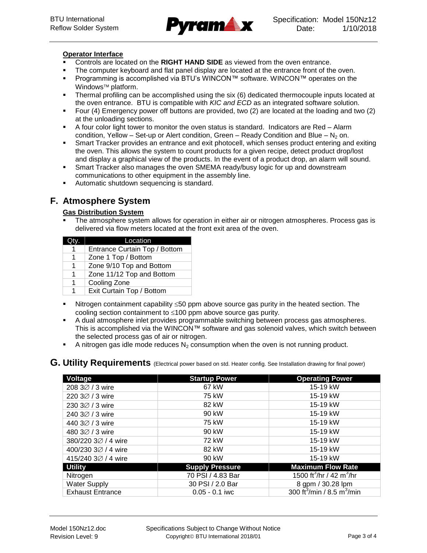

#### **Operator Interface**

- Controls are located on the **RIGHT HAND SIDE** as viewed from the oven entrance.
- The computer keyboard and flat panel display are located at the entrance front of the oven.
- Programming is accomplished via BTU's WINCON™ software. WINCON™ operates on the Windows<sup>™</sup> platform.
- Thermal profiling can be accomplished using the six (6) dedicated thermocouple inputs located at the oven entrance. BTU is compatible with *KIC and ECD* as an integrated software solution.
- Four (4) Emergency power off buttons are provided, two (2) are located at the loading and two (2) at the unloading sections.
- A four color light tower to monitor the oven status is standard. Indicators are Red Alarm condition, Yellow – Set-up or Alert condition, Green – Ready Condition and Blue –  $N_2$  on.
- Smart Tracker provides an entrance and exit photocell, which senses product entering and exiting the oven. This allows the system to count products for a given recipe, detect product drop/lost and display a graphical view of the products. In the event of a product drop, an alarm will sound.
- Smart Tracker also manages the oven SMEMA ready/busy logic for up and downstream communications to other equipment in the assembly line.
- Automatic shutdown sequencing is standard.

# **F. Atmosphere System**

### **Gas Distribution System**

 The atmosphere system allows for operation in either air or nitrogen atmospheres. Process gas is delivered via flow meters located at the front exit area of the oven.

|   | Location                      |
|---|-------------------------------|
|   | Entrance Curtain Top / Bottom |
| 1 | Zone 1 Top / Bottom           |
| 1 | Zone 9/10 Top and Bottom      |
| 1 | Zone 11/12 Top and Bottom     |
| 1 | Cooling Zone                  |
| 1 | Exit Curtain Top / Bottom     |

- Nitrogen containment capability  $\leq 50$  ppm above source gas purity in the heated section. The cooling section containment to  $\leq 100$  ppm above source gas purity.
- A dual atmosphere inlet provides programmable switching between process gas atmospheres. This is accomplished via the WINCON™ software and gas solenoid valves, which switch between the selected process gas of air or nitrogen.
- A nitrogen gas idle mode reduces  $N_2$  consumption when the oven is not running product.

### **G. Utility Requirements** (Electrical power based on std. Heater config. See Installation drawing for final power)

| Voltage                      | <b>Startup Power</b>   | <b>Operating Power</b>                             |
|------------------------------|------------------------|----------------------------------------------------|
| 208 3Ø / 3 wire              | 67 kW                  | 15-19 kW                                           |
| 220 3Ø / 3 wire              | 75 kW                  | 15-19 kW                                           |
| 230 3Ø / 3 wire              | 82 kW                  | 15-19 kW                                           |
| 240 3 $\varnothing$ / 3 wire | 90 kW                  | 15-19 kW                                           |
| 440 3 $\varnothing$ / 3 wire | 75 kW                  | 15-19 kW                                           |
| 480 3Ø / 3 wire              | 90 kW                  | 15-19 kW                                           |
| 380/220 3Ø / 4 wire          | 72 kW                  | 15-19 kW                                           |
| 400/230 3Ø / 4 wire          | 82 kW                  | 15-19 kW                                           |
| 415/240 3Ø / 4 wire          | 90 kW                  | 15-19 kW                                           |
| <b>Utility</b>               | <b>Supply Pressure</b> | <b>Maximum Flow Rate</b>                           |
| Nitrogen                     | 70 PSI / 4.83 Bar      | 1500 ft <sup>3</sup> /hr / 42 m <sup>3</sup> /hr   |
| <b>Water Supply</b>          | 30 PSI / 2.0 Bar       | 8 gpm / 30.28 lpm                                  |
| <b>Exhaust Entrance</b>      | $0.05 - 0.1$ iwc       | 300 ft <sup>3</sup> /min / 8.5 m <sup>3</sup> /min |